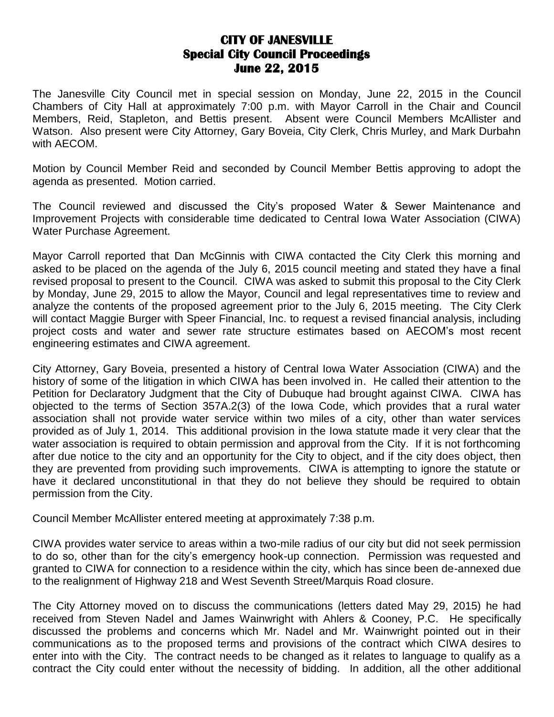## **CITY OF JANESVILLE Special City Council Proceedings June 22, 2015**

The Janesville City Council met in special session on Monday, June 22, 2015 in the Council Chambers of City Hall at approximately 7:00 p.m. with Mayor Carroll in the Chair and Council Members, Reid, Stapleton, and Bettis present. Absent were Council Members McAllister and Watson. Also present were City Attorney, Gary Boveia, City Clerk, Chris Murley, and Mark Durbahn with AECOM.

Motion by Council Member Reid and seconded by Council Member Bettis approving to adopt the agenda as presented. Motion carried.

The Council reviewed and discussed the City's proposed Water & Sewer Maintenance and Improvement Projects with considerable time dedicated to Central Iowa Water Association (CIWA) Water Purchase Agreement.

Mayor Carroll reported that Dan McGinnis with CIWA contacted the City Clerk this morning and asked to be placed on the agenda of the July 6, 2015 council meeting and stated they have a final revised proposal to present to the Council. CIWA was asked to submit this proposal to the City Clerk by Monday, June 29, 2015 to allow the Mayor, Council and legal representatives time to review and analyze the contents of the proposed agreement prior to the July 6, 2015 meeting. The City Clerk will contact Maggie Burger with Speer Financial, Inc. to request a revised financial analysis, including project costs and water and sewer rate structure estimates based on AECOM's most recent engineering estimates and CIWA agreement.

City Attorney, Gary Boveia, presented a history of Central Iowa Water Association (CIWA) and the history of some of the litigation in which CIWA has been involved in. He called their attention to the Petition for Declaratory Judgment that the City of Dubuque had brought against CIWA. CIWA has objected to the terms of Section 357A.2(3) of the Iowa Code, which provides that a rural water association shall not provide water service within two miles of a city, other than water services provided as of July 1, 2014. This additional provision in the Iowa statute made it very clear that the water association is required to obtain permission and approval from the City. If it is not forthcoming after due notice to the city and an opportunity for the City to object, and if the city does object, then they are prevented from providing such improvements. CIWA is attempting to ignore the statute or have it declared unconstitutional in that they do not believe they should be required to obtain permission from the City.

Council Member McAllister entered meeting at approximately 7:38 p.m.

CIWA provides water service to areas within a two-mile radius of our city but did not seek permission to do so, other than for the city's emergency hook-up connection. Permission was requested and granted to CIWA for connection to a residence within the city, which has since been de-annexed due to the realignment of Highway 218 and West Seventh Street/Marquis Road closure.

The City Attorney moved on to discuss the communications (letters dated May 29, 2015) he had received from Steven Nadel and James Wainwright with Ahlers & Cooney, P.C. He specifically discussed the problems and concerns which Mr. Nadel and Mr. Wainwright pointed out in their communications as to the proposed terms and provisions of the contract which CIWA desires to enter into with the City. The contract needs to be changed as it relates to language to qualify as a contract the City could enter without the necessity of bidding. In addition, all the other additional